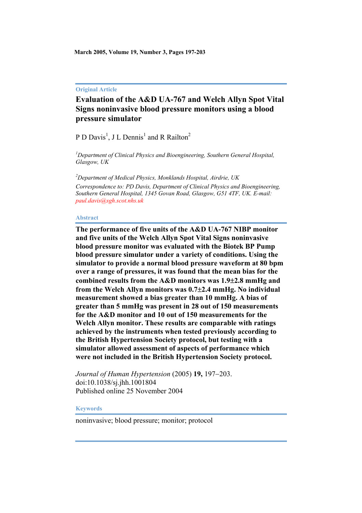**March 2005, Volume 19, Number 3, Pages 197-203**

#### **Original Article**

# **Evaluation of the A&D UA-767 and Welch Allyn Spot Vital Signs noninvasive blood pressure monitors using a blood pressure simulator**

P D Davis<sup>1</sup>, J L Dennis<sup>1</sup> and R Railton<sup>2</sup>

*1 Department of Clinical Physics and Bioengineering, Southern General Hospital, Glasgow, UK*

*2 Department of Medical Physics, Monklands Hospital, Airdrie, UK Correspondence to: PD Davis, Department of Clinical Physics and Bioengineering, Southern General Hospital, 1345 Govan Road, Glasgow, G51 4TF, UK. E-mail: [paul.davis@sgh.scot.nhs.uk](mailto:paul.davis@sgh.scot.nhs.uk)*

#### **Abstract**

**The performance of five units of the A&D UA-767 NIBP monitor and five units of the Welch Allyn Spot Vital Signs noninvasive blood pressure monitor was evaluated with the Biotek BP Pump blood pressure simulator under a variety of conditions. Using the simulator to provide a normal blood pressure waveform at 80 bpm over a range of pressures, it was found that the mean bias for the combined results from the A&D monitors was 1.9**±**2.8 mmHg and from the Welch Allyn monitors was 0.7**±**2.4 mmHg. No individual measurement showed a bias greater than 10 mmHg. A bias of greater than 5 mmHg was present in 28 out of 150 measurements for the A&D monitor and 10 out of 150 measurements for the Welch Allyn monitor. These results are comparable with ratings achieved by the instruments when tested previously according to the British Hypertension Society protocol, but testing with a simulator allowed assessment of aspects of performance which were not included in the British Hypertension Society protocol.**

*Journal of Human Hypertension* (2005) **19,** 197−203. doi:10.1038/sj.jhh.1001804 Published online 25 November 2004

#### **Keywords**

noninvasive; blood pressure; monitor; protocol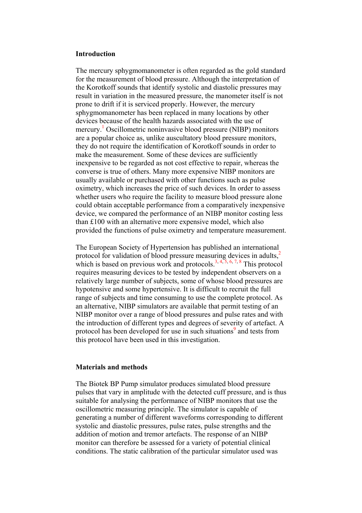### **Introduction**

The mercury sphygmomanometer is often regarded as the gold standard for the measurement of blood pressure. Although the interpretation of the Korotkoff sounds that identify systolic and diastolic pressures may result in variation in the measured pressure, the manometer itself is not prone to drift if it is serviced properly. However, the mercury sphygmomanometer has been replaced in many locations by other devices because of the health hazards associated with the use of mercury.<sup>[1](http://www.nature.com/cgi-taf/DynaPage.taf?file=/jhh/journal/v19/n3/full/)</sup> Oscillometric noninvasive blood pressure (NIBP) monitors are a popular choice as, unlike auscultatory blood pressure monitors, they do not require the identification of Korotkoff sounds in order to make the measurement. Some of these devices are sufficiently inexpensive to be regarded as not cost effective to repair, whereas the converse is true of others. Many more expensive NIBP monitors are usually available or purchased with other functions such as pulse oximetry, which increases the price of such devices. In order to assess whether users who require the facility to measure blood pressure alone could obtain acceptable performance from a comparatively inexpensive device, we compared the performance of an NIBP monitor costing less than £100 with an alternative more expensive model, which also provided the functions of pulse oximetry and temperature measurement.

The European Society of Hypertension has published an international protocol for validation of blood pressure measuring devices in adults,<sup>[2](http://www.nature.com/cgi-taf/DynaPage.taf?file=/jhh/journal/v19/n3/full/)</sup> which is based on previous work and protocols.<sup>3, [4](http://www.nature.com/cgi-taf/DynaPage.taf?file=/jhh/journal/v19/n3/full/), [5](http://www.nature.com/cgi-taf/DynaPage.taf?file=/jhh/journal/v19/n3/full/), [6](http://www.nature.com/cgi-taf/DynaPage.taf?file=/jhh/journal/v19/n3/full/), [7](http://www.nature.com/cgi-taf/DynaPage.taf?file=/jhh/journal/v19/n3/full/), [8](http://www.nature.com/cgi-taf/DynaPage.taf?file=/jhh/journal/v19/n3/full/)</sup> This protocol requires measuring devices to be tested by independent observers on a relatively large number of subjects, some of whose blood pressures are hypotensive and some hypertensive. It is difficult to recruit the full range of subjects and time consuming to use the complete protocol. As an alternative, NIBP simulators are available that permit testing of an NIBP monitor over a range of blood pressures and pulse rates and with the introduction of different types and degrees of severity of artefact. A protocol has been developed for use in such situations<sup>[9](http://www.nature.com/cgi-taf/DynaPage.taf?file=/jhh/journal/v19/n3/full/)</sup> and tests from this protocol have been used in this investigation.

### **Materials and methods**

The Biotek BP Pump simulator produces simulated blood pressure pulses that vary in amplitude with the detected cuff pressure, and is thus suitable for analysing the performance of NIBP monitors that use the oscillometric measuring principle. The simulator is capable of generating a number of different waveforms corresponding to different systolic and diastolic pressures, pulse rates, pulse strengths and the addition of motion and tremor artefacts. The response of an NIBP monitor can therefore be assessed for a variety of potential clinical conditions. The static calibration of the particular simulator used was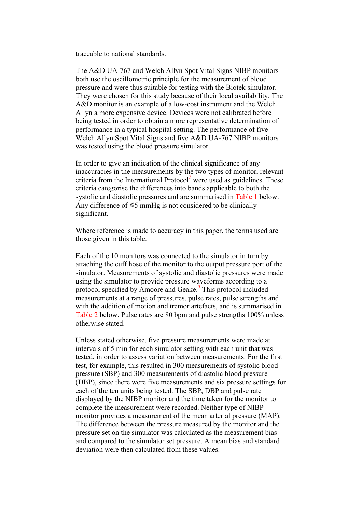traceable to national standards.

The A&D UA-767 and Welch Allyn Spot Vital Signs NIBP monitors both use the oscillometric principle for the measurement of blood pressure and were thus suitable for testing with the Biotek simulator. They were chosen for this study because of their local availability. The A&D monitor is an example of a low-cost instrument and the Welch Allyn a more expensive device. Devices were not calibrated before being tested in order to obtain a more representative determination of performance in a typical hospital setting. The performance of five Welch Allyn Spot Vital Signs and five A&D UA-767 NIBP monitors was tested using the blood pressure simulator.

In order to give an indication of the clinical significance of any inaccuracies in the measurements by the two types of monitor, relevant criteria from the International Protocol<sup>[2](http://www.nature.com/cgi-taf/DynaPage.taf?file=/jhh/journal/v19/n3/full/)</sup> were used as guidelines. These criteria categorise the differences into bands applicable to both the systolic and diastolic pressures and are summarised in [Table 1](http://www.nature.com/cgi-taf/DynaPage.taf?file=/jhh/journal/v19/n3/full/) below. Any difference of  $\leq 5$  mmHg is not considered to be clinically significant.

Where reference is made to accuracy in this paper, the terms used are those given in this table.

Each of the 10 monitors was connected to the simulator in turn by attaching the cuff hose of the monitor to the output pressure port of the simulator. Measurements of systolic and diastolic pressures were made using the simulator to provide pressure waveforms according to a protocol specified by Amoore and Geake.<sup>9</sup> This protocol included measurements at a range of pressures, pulse rates, pulse strengths and with the addition of motion and tremor artefacts, and is summarised in [Table 2](http://www.nature.com/cgi-taf/DynaPage.taf?file=/jhh/journal/v19/n3/full/) below. Pulse rates are 80 bpm and pulse strengths 100% unless otherwise stated.

Unless stated otherwise, five pressure measurements were made at intervals of 5 min for each simulator setting with each unit that was tested, in order to assess variation between measurements. For the first test, for example, this resulted in 300 measurements of systolic blood pressure (SBP) and 300 measurements of diastolic blood pressure (DBP), since there were five measurements and six pressure settings for each of the ten units being tested. The SBP, DBP and pulse rate displayed by the NIBP monitor and the time taken for the monitor to complete the measurement were recorded. Neither type of NIBP monitor provides a measurement of the mean arterial pressure (MAP). The difference between the pressure measured by the monitor and the pressure set on the simulator was calculated as the measurement bias and compared to the simulator set pressure. A mean bias and standard deviation were then calculated from these values.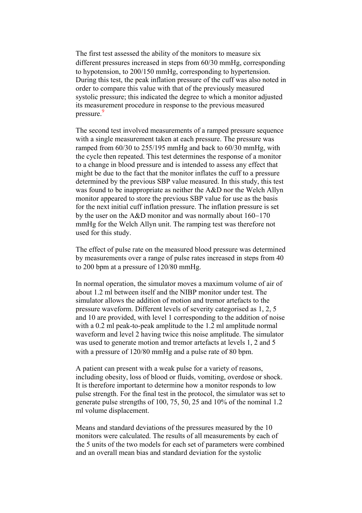The first test assessed the ability of the monitors to measure six different pressures increased in steps from 60/30 mmHg, corresponding to hypotension, to 200/150 mmHg, corresponding to hypertension. During this test, the peak inflation pressure of the cuff was also noted in order to compare this value with that of the previously measured systolic pressure; this indicated the degree to which a monitor adjusted its measurement procedure in response to the previous measured pressure.<sup>9</sup>

The second test involved measurements of a ramped pressure sequence with a single measurement taken at each pressure. The pressure was ramped from 60/30 to 255/195 mmHg and back to 60/30 mmHg, with the cycle then repeated. This test determines the response of a monitor to a change in blood pressure and is intended to assess any effect that might be due to the fact that the monitor inflates the cuff to a pressure determined by the previous SBP value measured. In this study, this test was found to be inappropriate as neither the A&D nor the Welch Allyn monitor appeared to store the previous SBP value for use as the basis for the next initial cuff inflation pressure. The inflation pressure is set by the user on the A&D monitor and was normally about 160−170 mmHg for the Welch Allyn unit. The ramping test was therefore not used for this study.

The effect of pulse rate on the measured blood pressure was determined by measurements over a range of pulse rates increased in steps from 40 to 200 bpm at a pressure of 120/80 mmHg.

In normal operation, the simulator moves a maximum volume of air of about 1.2 ml between itself and the NIBP monitor under test. The simulator allows the addition of motion and tremor artefacts to the pressure waveform. Different levels of severity categorised as 1, 2, 5 and 10 are provided, with level 1 corresponding to the addition of noise with a 0.2 ml peak-to-peak amplitude to the 1.2 ml amplitude normal waveform and level 2 having twice this noise amplitude. The simulator was used to generate motion and tremor artefacts at levels 1, 2 and 5 with a pressure of 120/80 mmHg and a pulse rate of 80 bpm.

A patient can present with a weak pulse for a variety of reasons, including obesity, loss of blood or fluids, vomiting, overdose or shock. It is therefore important to determine how a monitor responds to low pulse strength. For the final test in the protocol, the simulator was set to generate pulse strengths of 100, 75, 50, 25 and 10% of the nominal 1.2 ml volume displacement.

Means and standard deviations of the pressures measured by the 10 monitors were calculated. The results of all measurements by each of the 5 units of the two models for each set of parameters were combined and an overall mean bias and standard deviation for the systolic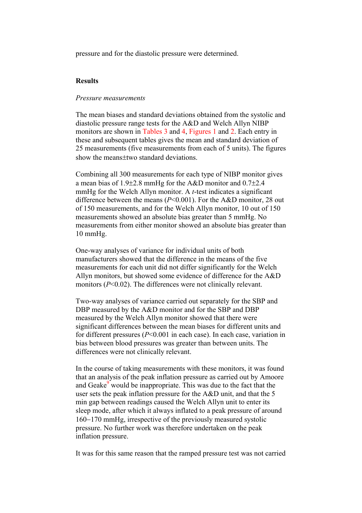pressure and for the diastolic pressure were determined.

# **Results**

# *Pressure measurements*

The mean biases and standard deviations obtained from the systolic and diastolic pressure range tests for the A&D and Welch Allyn NIBP monitors are shown in [Tables 3](http://www.nature.com/cgi-taf/DynaPage.taf?file=/jhh/journal/v19/n3/full/) and [4,](http://www.nature.com/cgi-taf/DynaPage.taf?file=/jhh/journal/v19/n3/full/) [Figures 1](http://www.nature.com/cgi-taf/DynaPage.taf?file=/jhh/journal/v19/n3/full/) and [2](http://www.nature.com/cgi-taf/DynaPage.taf?file=/jhh/journal/v19/n3/full/). Each entry in these and subsequent tables gives the mean and standard deviation of 25 measurements (five measurements from each of 5 units). The figures show the means±two standard deviations.

Combining all 300 measurements for each type of NIBP monitor gives a mean bias of 1.9±2.8 mmHg for the A&D monitor and 0.7±2.4 mmHg for the Welch Allyn monitor. A *t*-test indicates a significant difference between the means (*P*<0.001). For the A&D monitor, 28 out of 150 measurements, and for the Welch Allyn monitor, 10 out of 150 measurements showed an absolute bias greater than 5 mmHg. No measurements from either monitor showed an absolute bias greater than 10 mmHg.

One-way analyses of variance for individual units of both manufacturers showed that the difference in the means of the five measurements for each unit did not differ significantly for the Welch Allyn monitors, but showed some evidence of difference for the A&D monitors (*P*<0.02). The differences were not clinically relevant.

Two-way analyses of variance carried out separately for the SBP and DBP measured by the A&D monitor and for the SBP and DBP measured by the Welch Allyn monitor showed that there were significant differences between the mean biases for different units and for different pressures (*P*<0.001 in each case). In each case, variation in bias between blood pressures was greater than between units. The differences were not clinically relevant.

In the course of taking measurements with these monitors, it was found that an analysis of the peak inflation pressure as carried out by Amoore and Geake $9^{\circ}$  $9^{\circ}$  would be inappropriate. This was due to the fact that the user sets the peak inflation pressure for the A&D unit, and that the 5 min gap between readings caused the Welch Allyn unit to enter its sleep mode, after which it always inflated to a peak pressure of around 160−170 mmHg, irrespective of the previously measured systolic pressure. No further work was therefore undertaken on the peak inflation pressure.

It was for this same reason that the ramped pressure test was not carried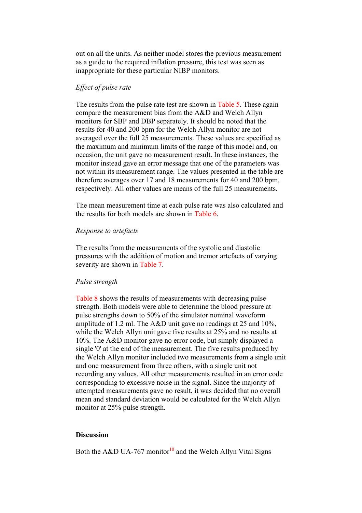out on all the units. As neither model stores the previous measurement as a guide to the required inflation pressure, this test was seen as inappropriate for these particular NIBP monitors.

## *Effect of pulse rate*

The results from the pulse rate test are shown in [Table 5](http://www.nature.com/cgi-taf/DynaPage.taf?file=/jhh/journal/v19/n3/full/). These again compare the measurement bias from the A&D and Welch Allyn monitors for SBP and DBP separately. It should be noted that the results for 40 and 200 bpm for the Welch Allyn monitor are not averaged over the full 25 measurements. These values are specified as the maximum and minimum limits of the range of this model and, on occasion, the unit gave no measurement result. In these instances, the monitor instead gave an error message that one of the parameters was not within its measurement range. The values presented in the table are therefore averages over 17 and 18 measurements for 40 and 200 bpm, respectively. All other values are means of the full 25 measurements.

The mean measurement time at each pulse rate was also calculated and the results for both models are shown in [Table 6](http://www.nature.com/cgi-taf/DynaPage.taf?file=/jhh/journal/v19/n3/full/).

### *Response to artefacts*

The results from the measurements of the systolic and diastolic pressures with the addition of motion and tremor artefacts of varying severity are shown in [Table 7](http://www.nature.com/cgi-taf/DynaPage.taf?file=/jhh/journal/v19/n3/full/).

### *Pulse strength*

[Table 8](http://www.nature.com/cgi-taf/DynaPage.taf?file=/jhh/journal/v19/n3/full/) shows the results of measurements with decreasing pulse strength. Both models were able to determine the blood pressure at pulse strengths down to 50% of the simulator nominal waveform amplitude of 1.2 ml. The A&D unit gave no readings at 25 and 10%, while the Welch Allyn unit gave five results at 25% and no results at 10%. The A&D monitor gave no error code, but simply displayed a single '0' at the end of the measurement. The five results produced by the Welch Allyn monitor included two measurements from a single unit and one measurement from three others, with a single unit not recording any values. All other measurements resulted in an error code corresponding to excessive noise in the signal. Since the majority of attempted measurements gave no result, it was decided that no overall mean and standard deviation would be calculated for the Welch Allyn monitor at 25% pulse strength.

# **Discussion**

Both the A&D UA-767 monitor<sup>10</sup> and the Welch Allyn Vital Signs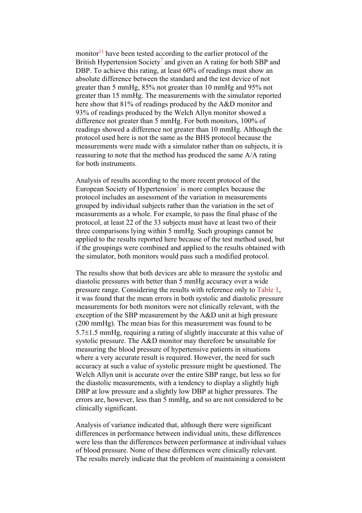monitor $11$  have been tested according to the earlier protocol of the British Hypertension Society<sup>[7](http://www.nature.com/cgi-taf/DynaPage.taf?file=/jhh/journal/v19/n3/full/)</sup> and given an A rating for both SBP and DBP. To achieve this rating, at least 60% of readings must show an absolute difference between the standard and the test device of not greater than 5 mmHg, 85% not greater than 10 mmHg and 95% not greater than 15 mmHg. The measurements with the simulator reported here show that 81% of readings produced by the A&D monitor and 93% of readings produced by the Welch Allyn monitor showed a difference not greater than 5 mmHg. For both monitors, 100% of readings showed a difference not greater than 10 mmHg. Although the protocol used here is not the same as the BHS protocol because the measurements were made with a simulator rather than on subjects, it is reassuring to note that the method has produced the same A/A rating for both instruments.

Analysis of results according to the more recent protocol of the European Society of Hypertension $2$  is more complex because the protocol includes an assessment of the variation in measurements grouped by individual subjects rather than the variation in the set of measurements as a whole. For example, to pass the final phase of the protocol, at least 22 of the 33 subjects must have at least two of their three comparisons lying within 5 mmHg. Such groupings cannot be applied to the results reported here because of the test method used, but if the groupings were combined and applied to the results obtained with the simulator, both monitors would pass such a modified protocol.

The results show that both devices are able to measure the systolic and diastolic pressures with better than 5 mmHg accuracy over a wide pressure range. Considering the results with reference only to [Table 1,](http://www.nature.com/cgi-taf/DynaPage.taf?file=/jhh/journal/v19/n3/full/) it was found that the mean errors in both systolic and diastolic pressure measurements for both monitors were not clinically relevant, with the exception of the SBP measurement by the A&D unit at high pressure (200 mmHg). The mean bias for this measurement was found to be 5.7±1.5 mmHg, requiring a rating of slightly inaccurate at this value of systolic pressure. The A&D monitor may therefore be unsuitable for measuring the blood pressure of hypertensive patients in situations where a very accurate result is required. However, the need for such accuracy at such a value of systolic pressure might be questioned. The Welch Allyn unit is accurate over the entire SBP range, but less so for the diastolic measurements, with a tendency to display a slightly high DBP at low pressure and a slightly low DBP at higher pressures. The errors are, however, less than 5 mmHg, and so are not considered to be clinically significant.

Analysis of variance indicated that, although there were significant differences in performance between individual units, these differences were less than the differences between performance at individual values of blood pressure. None of these differences were clinically relevant. The results merely indicate that the problem of maintaining a consistent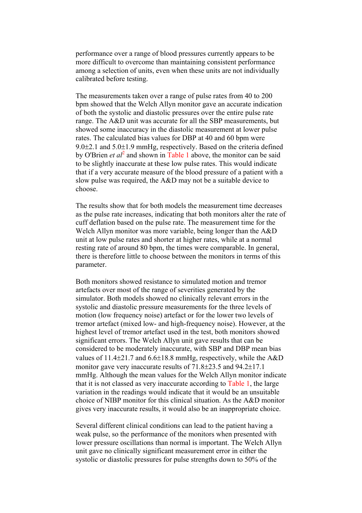performance over a range of blood pressures currently appears to be more difficult to overcome than maintaining consistent performance among a selection of units, even when these units are not individually calibrated before testing.

The measurements taken over a range of pulse rates from 40 to 200 bpm showed that the Welch Allyn monitor gave an accurate indication of both the systolic and diastolic pressures over the entire pulse rate range. The A&D unit was accurate for all the SBP measurements, but showed some inaccuracy in the diastolic measurement at lower pulse rates. The calculated bias values for DBP at 40 and 60 bpm were 9.0±2.1 and 5.0±1.9 mmHg, respectively. Based on the criteria defined by O'Brien *et al*<sup>[2](http://www.nature.com/cgi-taf/DynaPage.taf?file=/jhh/journal/v19/n3/full/)</sup> and shown in [Table 1](http://www.nature.com/cgi-taf/DynaPage.taf?file=/jhh/journal/v19/n3/full/) above, the monitor can be said to be slightly inaccurate at these low pulse rates. This would indicate that if a very accurate measure of the blood pressure of a patient with a slow pulse was required, the A&D may not be a suitable device to choose.

The results show that for both models the measurement time decreases as the pulse rate increases, indicating that both monitors alter the rate of cuff deflation based on the pulse rate. The measurement time for the Welch Allyn monitor was more variable, being longer than the A&D unit at low pulse rates and shorter at higher rates, while at a normal resting rate of around 80 bpm, the times were comparable. In general, there is therefore little to choose between the monitors in terms of this parameter.

Both monitors showed resistance to simulated motion and tremor artefacts over most of the range of severities generated by the simulator. Both models showed no clinically relevant errors in the systolic and diastolic pressure measurements for the three levels of motion (low frequency noise) artefact or for the lower two levels of tremor artefact (mixed low- and high-frequency noise). However, at the highest level of tremor artefact used in the test, both monitors showed significant errors. The Welch Allyn unit gave results that can be considered to be moderately inaccurate, with SBP and DBP mean bias values of 11.4±21.7 and 6.6±18.8 mmHg, respectively, while the A&D monitor gave very inaccurate results of 71.8±23.5 and 94.2±17.1 mmHg. Although the mean values for the Welch Allyn monitor indicate that it is not classed as very inaccurate according to [Table 1,](http://www.nature.com/cgi-taf/DynaPage.taf?file=/jhh/journal/v19/n3/full/) the large variation in the readings would indicate that it would be an unsuitable choice of NIBP monitor for this clinical situation. As the A&D monitor gives very inaccurate results, it would also be an inappropriate choice.

Several different clinical conditions can lead to the patient having a weak pulse, so the performance of the monitors when presented with lower pressure oscillations than normal is important. The Welch Allyn unit gave no clinically significant measurement error in either the systolic or diastolic pressures for pulse strengths down to 50% of the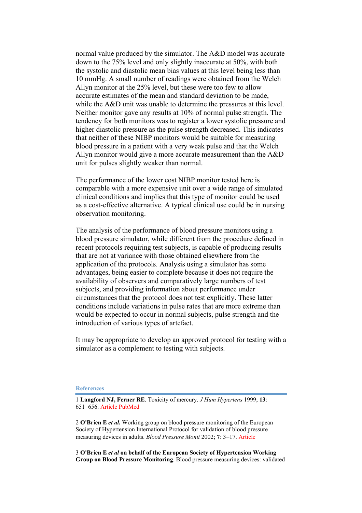normal value produced by the simulator. The A&D model was accurate down to the 75% level and only slightly inaccurate at 50%, with both the systolic and diastolic mean bias values at this level being less than 10 mmHg. A small number of readings were obtained from the Welch Allyn monitor at the 25% level, but these were too few to allow accurate estimates of the mean and standard deviation to be made, while the A&D unit was unable to determine the pressures at this level. Neither monitor gave any results at 10% of normal pulse strength. The tendency for both monitors was to register a lower systolic pressure and higher diastolic pressure as the pulse strength decreased. This indicates that neither of these NIBP monitors would be suitable for measuring blood pressure in a patient with a very weak pulse and that the Welch Allyn monitor would give a more accurate measurement than the A&D unit for pulses slightly weaker than normal.

The performance of the lower cost NIBP monitor tested here is comparable with a more expensive unit over a wide range of simulated clinical conditions and implies that this type of monitor could be used as a cost-effective alternative. A typical clinical use could be in nursing observation monitoring.

The analysis of the performance of blood pressure monitors using a blood pressure simulator, while different from the procedure defined in recent protocols requiring test subjects, is capable of producing results that are not at variance with those obtained elsewhere from the application of the protocols. Analysis using a simulator has some advantages, being easier to complete because it does not require the availability of observers and comparatively large numbers of test subjects, and providing information about performance under circumstances that the protocol does not test explicitly. These latter conditions include variations in pulse rates that are more extreme than would be expected to occur in normal subjects, pulse strength and the introduction of various types of artefact.

It may be appropriate to develop an approved protocol for testing with a simulator as a complement to testing with subjects.

#### **References**

1 **Langford NJ, Ferner RE**. Toxicity of mercury. *J Hum Hypertens* 1999; **13**: 651−656. [Article](http://dx.doi.org/10.1038/sj.jhh.1000896) [PubMed](http://www.ncbi.nlm.nih.gov/entrez/query.fcgi?cmd=Retrieve&db=PubMed&list_uids=10516733&dopt=Abstract)

2 **O'Brien E** *et al.* Working group on blood pressure monitoring of the European Society of Hypertension International Protocol for validation of blood pressure measuring devices in adults. *Blood Pressure Monit* 2002; **7**: 3−17. [Article](http://dx.doi.org/10.1097/00126097-200202000-00002)

3 **O'Brien E** *et al* **on behalf of the European Society of Hypertension Working Group on Blood Pressure Monitoring**. Blood pressure measuring devices: validated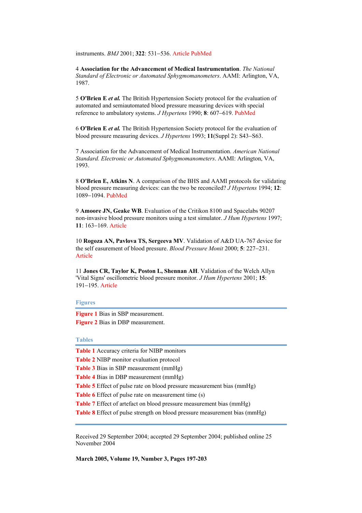instruments. *BMJ* 2001; **322**: 531−536. [Article](http://dx.doi.org/10.1136/bmj.322.7285.531) [PubMed](http://www.ncbi.nlm.nih.gov/entrez/query.fcgi?cmd=Retrieve&db=PubMed&list_uids=11230071&dopt=Abstract)

4 **Association for the Advancement of Medical Instrumentation**. *The National Standard of Electronic or Automated Sphygmomanometers*. AAMI: Arlington, VA, 1987.

5 **O'Brien E** *et al.* The British Hypertension Society protocol for the evaluation of automated and semiautomated blood pressure measuring devices with special reference to ambulatory systems. *J Hypertens* 1990; **8**: 607−619. [PubMed](http://www.ncbi.nlm.nih.gov/entrez/query.fcgi?cmd=Retrieve&db=PubMed&list_uids=2168451&dopt=Abstract)

6 **O'Brien E** *et al.* The British Hypertension Society protocol for the evaluation of blood pressure measuring devices. *J Hypertens* 1993; **11**(Suppl 2): S43−S63.

7 Association for the Advancement of Medical Instrumentation. *American National Standard. Electronic or Automated Sphygmomanometers*. AAMI: Arlington, VA, 1993.

8 **O'Brien E, Atkins N**. A comparison of the BHS and AAMI protocols for validating blood pressure measuring devices: can the two be reconciled? *J Hypertens* 1994; **12**: 1089−1094. [PubMed](http://www.ncbi.nlm.nih.gov/entrez/query.fcgi?cmd=Retrieve&db=PubMed&list_uids=7852754&dopt=Abstract)

9 **Amoore JN, Geake WB**. Evaluation of the Critikon 8100 and Spacelabs 90207 non-invasive blood pressure monitors using a test simulator. *J Hum Hypertens* 1997; **11**: 163−169. [Article](http://dx.doi.org/10.1038/sj.jhh.1000416)

10 **Rogoza AN, Pavlova TS, Sergeeva MV**. Validation of A&D UA-767 device for the self easurement of blood pressure. *Blood Pressure Monit* 2000; **5**: 227−231. [Article](http://dx.doi.org/10.1097/00126097-200008000-00006)

11 **Jones CR, Taylor K, Poston L, Shennan AH**. Validation of the Welch Allyn 'Vital Signs' oscillometric blood pressure monitor. *J Hum Hypertens* 2001; **15**: 191−195. [Article](http://dx.doi.org/10.1038/sj.jhh.1001141)

#### **Figures**

**Figure 1** Bias in SBP measurement. **Figure 2** Bias in DBP measurement.

#### **Tables**

| <b>Table 1</b> Accuracy criteria for NIBP monitors                                |
|-----------------------------------------------------------------------------------|
| <b>Table 2</b> NIBP monitor evaluation protocol                                   |
| <b>Table 3</b> Bias in SBP measurement (mmHg)                                     |
| <b>Table 4</b> Bias in DBP measurement (mmHg)                                     |
| <b>Table 5</b> Effect of pulse rate on blood pressure measurement bias (mmHg)     |
| <b>Table 6</b> Effect of pulse rate on measurement time (s)                       |
| <b>Table 7</b> Effect of artefact on blood pressure measurement bias (mmHg)       |
| <b>Table 8</b> Effect of pulse strength on blood pressure measurement bias (mmHg) |
|                                                                                   |

Received 29 September 2004; accepted 29 September 2004; published online 25 November 2004

**March 2005, Volume 19, Number 3, Pages 197-203**